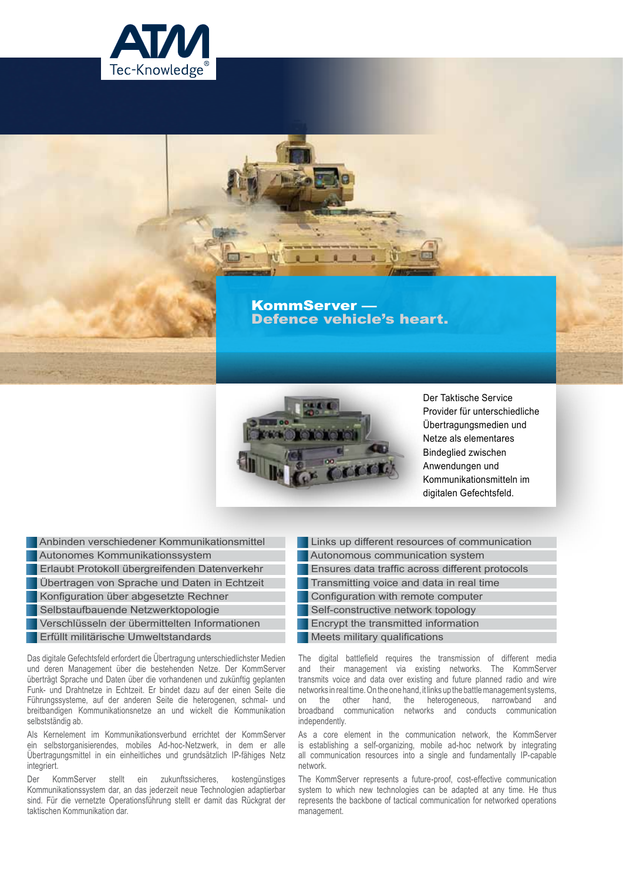

## KommServer — Defence vehicle's heart.



Der Taktische Service Provider für unterschiedliche Übertragungsmedien und Netze als elementares Bindeglied zwischen Anwendungen und Kommunikationsmitteln im digitalen Gefechtsfeld.

 Anbinden verschiedener Kommunikationsmittel Autonomes Kommunikationssystem Erlaubt Protokoll übergreifenden Datenverkehr Übertragen von Sprache und Daten in Echtzeit Konfiguration über abgesetzte Rechner Selbstaufbauende Netzwerktopologie Verschlüsseln der übermittelten Informationen

**Erfüllt militärische Umweltstandards** 

Das digitale Gefechtsfeld erfordert die Übertragung unterschiedlichster Medien und deren Management über die bestehenden Netze. Der KommServer überträgt Sprache und Daten über die vorhandenen und zukünftig geplanten Funk- und Drahtnetze in Echtzeit. Er bindet dazu auf der einen Seite die Führungssysteme, auf der anderen Seite die heterogenen, schmal- und breitbandigen Kommunikationsnetze an und wickelt die Kommunikation selbstständig ab.

Als Kernelement im Kommunikationsverbund errichtet der KommServer ein selbstorganisierendes, mobiles Ad-hoc-Netzwerk, in dem er alle Übertragungsmittel in ein einheitliches und grundsätzlich IP-fähiges Netz integriert.

Der KommServer stellt ein zukunftssicheres, kostengünstiges Kommunikationssystem dar, an das jederzeit neue Technologien adaptierbar sind. Für die vernetzte Operationsführung stellt er damit das Rückgrat der taktischen Kommunikation dar.

 Links up different resources of communication Autonomous communication system Ensures data traffic across different protocols Transmitting voice and data in real time Configuration with remote computer Self-constructive network topology Encrypt the transmitted information Meets military qualifications

The digital battlefield requires the transmission of different media and their management via existing networks. The KommServer transmits voice and data over existing and future planned radio and wire networks in real time. On the one hand, it links up the battle management systems, on the other hand, the heterogeneous, narrowband and broadband communication networks and conducts communication communication networks and conducts communication independently.

As a core element in the communication network, the KommServer is establishing a self-organizing, mobile ad-hoc network by integrating all communication resources into a single and fundamentally IP-capable network.

The KommServer represents a future-proof, cost-effective communication system to which new technologies can be adapted at any time. He thus represents the backbone of tactical communication for networked operations management.